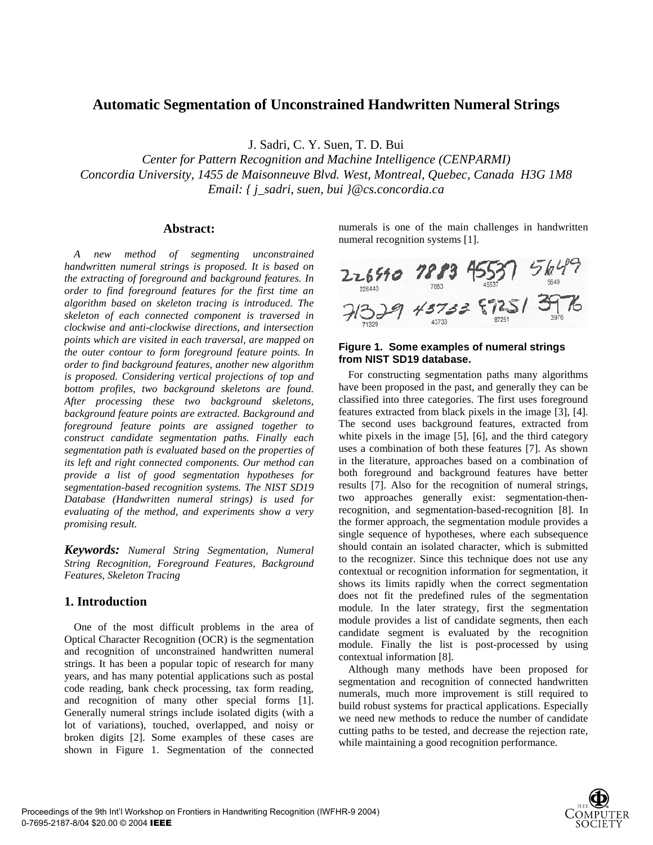# **Automatic Segmentation of Unconstrained Handwritten Numeral Strings**

J. Sadri, C. Y. Suen, T. D. Bui

*Center for Pattern Recognition and Machine Intelligence (CENPARMI) Concordia University, 1455 de Maisonneuve Blvd. West, Montreal, Quebec, Canada H3G 1M8 Email: { j\_sadri, suen, bui }@cs.concordia.ca* 

#### **Abstract:**

 *A new method of segmenting unconstrained handwritten numeral strings is proposed. It is based on the extracting of foreground and background features. In order to find foreground features for the first time an algorithm based on skeleton tracing is introduced. The skeleton of each connected component is traversed in clockwise and anti-clockwise directions, and intersection points which are visited in each traversal, are mapped on the outer contour to form foreground feature points. In order to find background features, another new algorithm is proposed. Considering vertical projections of top and bottom profiles, two background skeletons are found. After processing these two background skeletons, background feature points are extracted. Background and foreground feature points are assigned together to construct candidate segmentation paths. Finally each segmentation path is evaluated based on the properties of its left and right connected components. Our method can provide a list of good segmentation hypotheses for segmentation-based recognition systems. The NIST SD19 Database (Handwritten numeral strings) is used for evaluating of the method, and experiments show a very promising result.* 

*Keywords: Numeral String Segmentation, Numeral String Recognition, Foreground Features, Background Features, Skeleton Tracing* 

## **1. Introduction**

 One of the most difficult problems in the area of Optical Character Recognition (OCR) is the segmentation and recognition of unconstrained handwritten numeral strings. It has been a popular topic of research for many years, and has many potential applications such as postal code reading, bank check processing, tax form reading, and recognition of many other special forms [1]. Generally numeral strings include isolated digits (with a lot of variations), touched, overlapped, and noisy or broken digits [2]. Some examples of these cases are shown in Figure 1. Segmentation of the connected

numerals is one of the main challenges in handwritten numeral recognition systems [1].

 $226910$  7883 45537 5649  $7329$  43733 57251 3

#### **Figure 1. Some examples of numeral strings from NIST SD19 database.**

 For constructing segmentation paths many algorithms have been proposed in the past, and generally they can be classified into three categories. The first uses foreground features extracted from black pixels in the image [3], [4]. The second uses background features, extracted from white pixels in the image [5], [6], and the third category uses a combination of both these features [7]. As shown in the literature, approaches based on a combination of both foreground and background features have better results [7]. Also for the recognition of numeral strings, two approaches generally exist: segmentation-thenrecognition, and segmentation-based-recognition [8]. In the former approach, the segmentation module provides a single sequence of hypotheses, where each subsequence should contain an isolated character, which is submitted to the recognizer. Since this technique does not use any contextual or recognition information for segmentation, it shows its limits rapidly when the correct segmentation does not fit the predefined rules of the segmentation module. In the later strategy, first the segmentation module provides a list of candidate segments, then each candidate segment is evaluated by the recognition module. Finally the list is post-processed by using contextual information [8].

 Although many methods have been proposed for segmentation and recognition of connected handwritten numerals, much more improvement is still required to build robust systems for practical applications. Especially we need new methods to reduce the number of candidate cutting paths to be tested, and decrease the rejection rate, while maintaining a good recognition performance.

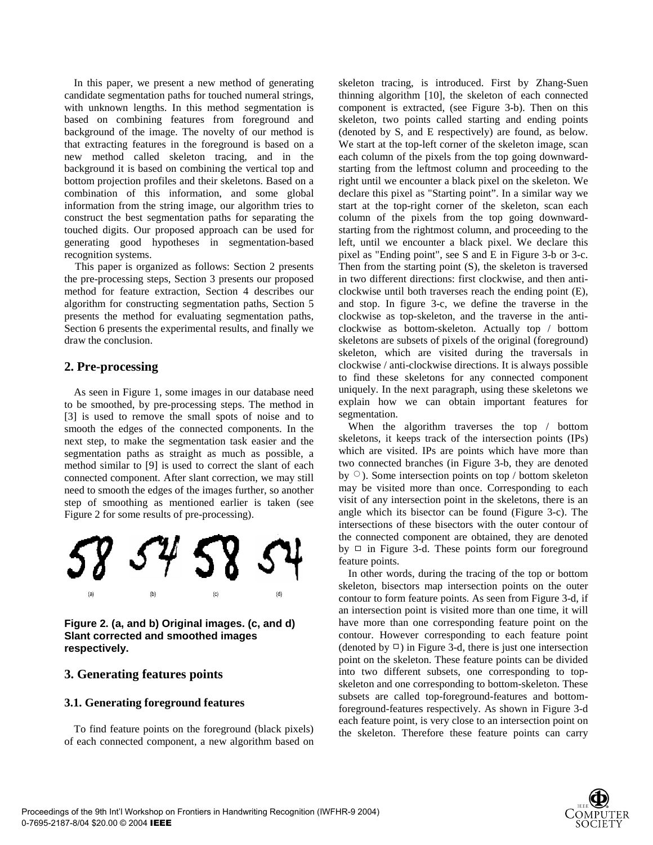In this paper, we present a new method of generating candidate segmentation paths for touched numeral strings, with unknown lengths. In this method segmentation is based on combining features from foreground and background of the image. The novelty of our method is that extracting features in the foreground is based on a new method called skeleton tracing, and in the background it is based on combining the vertical top and bottom projection profiles and their skeletons. Based on a combination of this information, and some global information from the string image, our algorithm tries to construct the best segmentation paths for separating the touched digits. Our proposed approach can be used for generating good hypotheses in segmentation-based recognition systems.

 This paper is organized as follows: Section 2 presents the pre-processing steps, Section 3 presents our proposed method for feature extraction, Section 4 describes our algorithm for constructing segmentation paths, Section 5 presents the method for evaluating segmentation paths, Section 6 presents the experimental results, and finally we draw the conclusion.

#### **2. Pre-processing**

 As seen in Figure 1, some images in our database need to be smoothed, by pre-processing steps. The method in [3] is used to remove the small spots of noise and to smooth the edges of the connected components. In the next step, to make the segmentation task easier and the segmentation paths as straight as much as possible, a method similar to [9] is used to correct the slant of each connected component. After slant correction, we may still need to smooth the edges of the images further, so another step of smoothing as mentioned earlier is taken (see Figure 2 for some results of pre-processing).



**Figure 2. (a, and b) Original images. (c, and d) Slant corrected and smoothed images respectively.** 

# **3. Generating features points**

#### **3.1. Generating foreground features**

 To find feature points on the foreground (black pixels) of each connected component, a new algorithm based on skeleton tracing, is introduced. First by Zhang-Suen thinning algorithm [10], the skeleton of each connected component is extracted, (see Figure 3-b). Then on this skeleton, two points called starting and ending points (denoted by S, and E respectively) are found, as below. We start at the top-left corner of the skeleton image, scan each column of the pixels from the top going downwardstarting from the leftmost column and proceeding to the right until we encounter a black pixel on the skeleton. We declare this pixel as "Starting point". In a similar way we start at the top-right corner of the skeleton, scan each column of the pixels from the top going downwardstarting from the rightmost column, and proceeding to the left, until we encounter a black pixel. We declare this pixel as "Ending point", see S and E in Figure 3-b or 3-c. Then from the starting point (S), the skeleton is traversed in two different directions: first clockwise, and then anticlockwise until both traverses reach the ending point (E), and stop. In figure 3-c, we define the traverse in the clockwise as top-skeleton, and the traverse in the anticlockwise as bottom-skeleton. Actually top / bottom skeletons are subsets of pixels of the original (foreground) skeleton, which are visited during the traversals in clockwise / anti-clockwise directions. It is always possible to find these skeletons for any connected component uniquely. In the next paragraph, using these skeletons we explain how we can obtain important features for segmentation.

When the algorithm traverses the top / bottom skeletons, it keeps track of the intersection points (IPs) which are visited. IPs are points which have more than two connected branches (in Figure 3-b, they are denoted by  $\circ$ ). Some intersection points on top / bottom skeleton may be visited more than once. Corresponding to each visit of any intersection point in the skeletons, there is an angle which its bisector can be found (Figure 3-c). The intersections of these bisectors with the outer contour of the connected component are obtained, they are denoted by  $\Box$  in Figure 3-d. These points form our foreground feature points.

 In other words, during the tracing of the top or bottom skeleton, bisectors map intersection points on the outer contour to form feature points. As seen from Figure 3-d, if an intersection point is visited more than one time, it will have more than one corresponding feature point on the contour. However corresponding to each feature point (denoted by  $\Box$ ) in Figure 3-d, there is just one intersection point on the skeleton. These feature points can be divided into two different subsets, one corresponding to topskeleton and one corresponding to bottom-skeleton. These subsets are called top-foreground-features and bottomforeground-features respectively. As shown in Figure 3-d each feature point, is very close to an intersection point on the skeleton. Therefore these feature points can carry

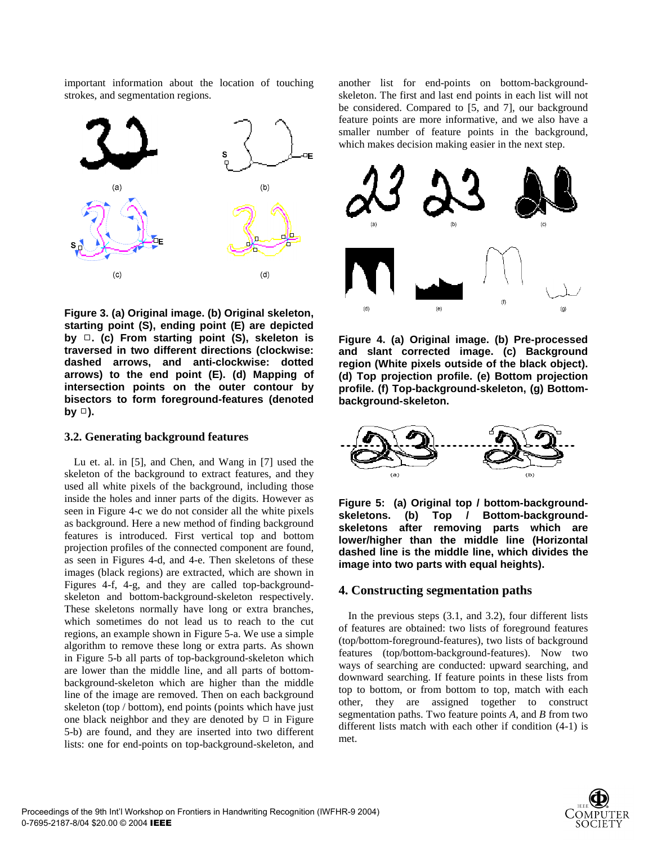important information about the location of touching strokes, and segmentation regions.



**Figure 3. (a) Original image. (b) Original skeleton, starting point (S), ending point (E) are depicted by . (c) From starting point (S), skeleton is traversed in two different directions (clockwise: dashed arrows, and anti-clockwise: dotted arrows) to the end point (E). (d) Mapping of intersection points on the outer contour by bisectors to form foreground-features (denoted**  by  $\Box$ ).

#### **3.2. Generating background features**

 Lu et. al. in [5], and Chen, and Wang in [7] used the skeleton of the background to extract features, and they used all white pixels of the background, including those inside the holes and inner parts of the digits. However as seen in Figure 4-c we do not consider all the white pixels as background. Here a new method of finding background features is introduced. First vertical top and bottom projection profiles of the connected component are found, as seen in Figures 4-d, and 4-e. Then skeletons of these images (black regions) are extracted, which are shown in Figures 4-f, 4-g, and they are called top-backgroundskeleton and bottom-background-skeleton respectively. These skeletons normally have long or extra branches, which sometimes do not lead us to reach to the cut regions, an example shown in Figure 5-a. We use a simple algorithm to remove these long or extra parts. As shown in Figure 5-b all parts of top-background-skeleton which are lower than the middle line, and all parts of bottombackground-skeleton which are higher than the middle line of the image are removed. Then on each background skeleton (top / bottom), end points (points which have just one black neighbor and they are denoted by  $\Box$  in Figure 5-b) are found, and they are inserted into two different lists: one for end-points on top-background-skeleton, and another list for end-points on bottom-backgroundskeleton. The first and last end points in each list will not be considered. Compared to [5, and 7], our background feature points are more informative, and we also have a smaller number of feature points in the background, which makes decision making easier in the next step.



**Figure 4. (a) Original image. (b) Pre-processed and slant corrected image. (c) Background region (White pixels outside of the black object). (d) Top projection profile. (e) Bottom projection profile. (f) Top-background-skeleton, (g) Bottombackground-skeleton.** 



**Figure 5: (a) Original top / bottom-backgroundskeletons. (b) Top / Bottom-backgroundskeletons after removing parts which are lower/higher than the middle line (Horizontal dashed line is the middle line, which divides the image into two parts with equal heights).**

#### **4. Constructing segmentation paths**

 In the previous steps (3.1, and 3.2), four different lists of features are obtained: two lists of foreground features (top/bottom-foreground-features), two lists of background features (top/bottom-background-features). Now two ways of searching are conducted: upward searching, and downward searching. If feature points in these lists from top to bottom, or from bottom to top, match with each other, they are assigned together to construct segmentation paths. Two feature points *A*, and *B* from two different lists match with each other if condition (4-1) is met.

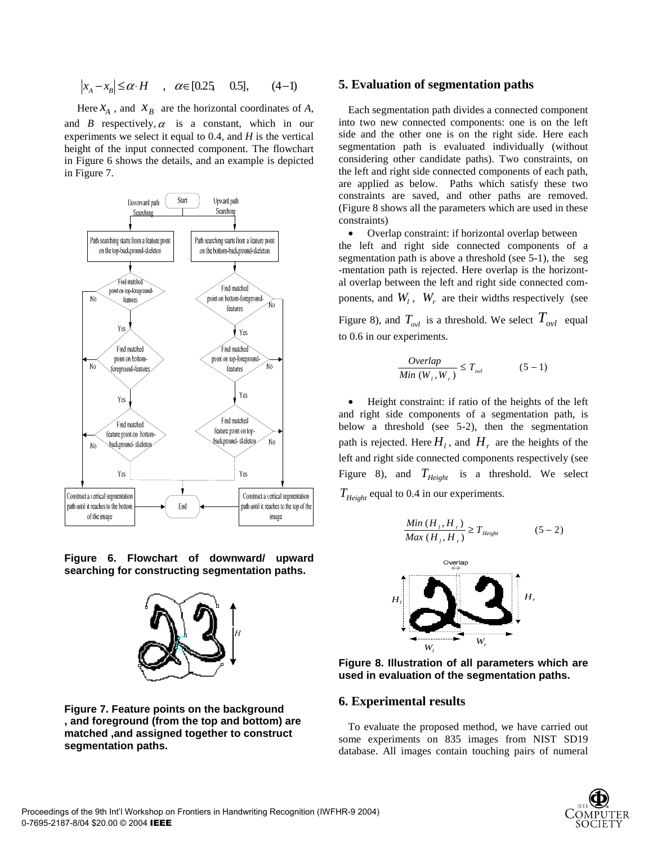$$
\left| x_A - x_B \right| \le \alpha \cdot H \quad , \quad \alpha \in [0.25, \quad 0.5], \quad (4-1)
$$

Here  $X_A$ , and  $X_B$  are the horizontal coordinates of A, and *B* respectively,  $\alpha$  is a constant, which in our experiments we select it equal to 0.4, and *H* is the vertical height of the input connected component. The flowchart in Figure 6 shows the details, and an example is depicted in Figure 7.



**Figure 6. Flowchart of downward/ upward searching for constructing segmentation paths.** 



**Figure 7. Feature points on the background , and foreground (from the top and bottom) are matched ,and assigned together to construct segmentation paths.** 

#### **5. Evaluation of segmentation paths**

Each segmentation path divides a connected component into two new connected components: one is on the left side and the other one is on the right side. Here each segmentation path is evaluated individually (without considering other candidate paths). Two constraints, on the left and right side connected components of each path, are applied as below. Paths which satisfy these two constraints are saved, and other paths are removed. (Figure 8 shows all the parameters which are used in these constraints)

• Overlap constraint: if horizontal overlap between the left and right side connected components of a segmentation path is above a threshold (see 5-1), the seg -mentation path is rejected. Here overlap is the horizontal overlap between the left and right side connected components, and  $W_l$ ,  $W_r$  are their widths respectively (see Figure 8), and  $T_{ovl}$  is a threshold. We select  $T_{ovl}$  equal to 0.6 in our experiments.

$$
\frac{Overlap}{Min (W_t, W_r)} \le T_{ovl} \tag{5-1}
$$

• Height constraint: if ratio of the heights of the left and right side components of a segmentation path, is below a threshold (see 5-2), then the segmentation path is rejected. Here  $H_1$ , and  $H_r$  are the heights of the left and right side connected components respectively (see Figure 8), and  $T_{Height}$  is a threshold. We select  $T_{Height}$  equal to 0.4 in our experiments.

$$
\frac{Min(H_i, H_r)}{Max(H_i, H_r)} \ge T_{Height} \tag{5-2}
$$



**Figure 8. Illustration of all parameters which are used in evaluation of the segmentation paths.** 

#### **6. Experimental results**

 To evaluate the proposed method, we have carried out some experiments on 835 images from NIST SD19 database. All images contain touching pairs of numeral

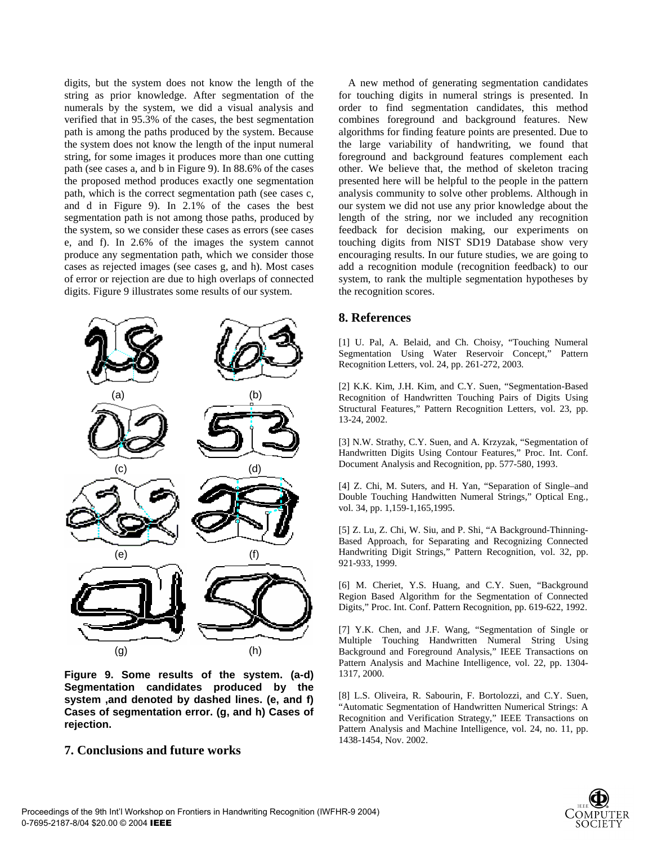digits, but the system does not know the length of the string as prior knowledge. After segmentation of the numerals by the system, we did a visual analysis and verified that in 95.3% of the cases, the best segmentation path is among the paths produced by the system. Because the system does not know the length of the input numeral string, for some images it produces more than one cutting path (see cases a, and b in Figure 9). In 88.6% of the cases the proposed method produces exactly one segmentation path, which is the correct segmentation path (see cases c, and d in Figure 9). In 2.1% of the cases the best segmentation path is not among those paths, produced by the system, so we consider these cases as errors (see cases e, and f). In 2.6% of the images the system cannot produce any segmentation path, which we consider those cases as rejected images (see cases g, and h). Most cases of error or rejection are due to high overlaps of connected digits. Figure 9 illustrates some results of our system.



**Figure 9. Some results of the system. (a-d) Segmentation candidates produced by the system ,and denoted by dashed lines. (e, and f) Cases of segmentation error. (g, and h) Cases of rejection.** 

## **7. Conclusions and future works**

 A new method of generating segmentation candidates for touching digits in numeral strings is presented. In order to find segmentation candidates, this method combines foreground and background features. New algorithms for finding feature points are presented. Due to the large variability of handwriting, we found that foreground and background features complement each other. We believe that, the method of skeleton tracing presented here will be helpful to the people in the pattern analysis community to solve other problems. Although in our system we did not use any prior knowledge about the length of the string, nor we included any recognition feedback for decision making, our experiments on touching digits from NIST SD19 Database show very encouraging results. In our future studies, we are going to add a recognition module (recognition feedback) to our system, to rank the multiple segmentation hypotheses by the recognition scores.

## **8. References**

[1] U. Pal, A. Belaid, and Ch. Choisy, "Touching Numeral Segmentation Using Water Reservoir Concept," Pattern Recognition Letters, vol. 24, pp. 261-272, 2003.

[2] K.K. Kim, J.H. Kim, and C.Y. Suen, "Segmentation-Based Recognition of Handwritten Touching Pairs of Digits Using Structural Features," Pattern Recognition Letters, vol. 23, pp. 13-24, 2002.

[3] N.W. Strathy, C.Y. Suen, and A. Krzyzak, "Segmentation of Handwritten Digits Using Contour Features," Proc. Int. Conf. Document Analysis and Recognition, pp. 577-580, 1993.

[4] Z. Chi, M. Suters, and H. Yan, "Separation of Single–and Double Touching Handwitten Numeral Strings," Optical Eng., vol. 34, pp. 1,159-1,165,1995.

[5] Z. Lu, Z. Chi, W. Siu, and P. Shi, "A Background-Thinning-Based Approach, for Separating and Recognizing Connected Handwriting Digit Strings," Pattern Recognition, vol. 32, pp. 921-933, 1999.

[6] M. Cheriet, Y.S. Huang, and C.Y. Suen, "Background Region Based Algorithm for the Segmentation of Connected Digits," Proc. Int. Conf. Pattern Recognition, pp. 619-622, 1992.

[7] Y.K. Chen, and J.F. Wang, "Segmentation of Single or Multiple Touching Handwritten Numeral String Using Background and Foreground Analysis," IEEE Transactions on Pattern Analysis and Machine Intelligence, vol. 22, pp. 1304- 1317, 2000.

[8] L.S. Oliveira, R. Sabourin, F. Bortolozzi, and C.Y. Suen, "Automatic Segmentation of Handwritten Numerical Strings: A Recognition and Verification Strategy," IEEE Transactions on Pattern Analysis and Machine Intelligence, vol. 24, no. 11, pp. 1438-1454, Nov. 2002.